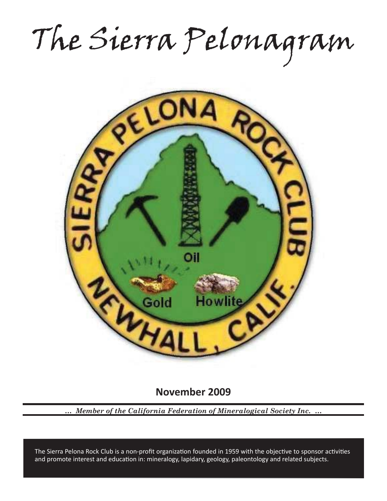The Sierra Pelonagram



**November 2009**

*… Member of the California Federation of Mineralogical Society Inc. …*

and promote interest and education in: mineralogy, lapidary, geology, paleontology and related subjects. The Sierra Pelona Rock Club is a non-profit organization founded in 1959 with the objective to sponsor activities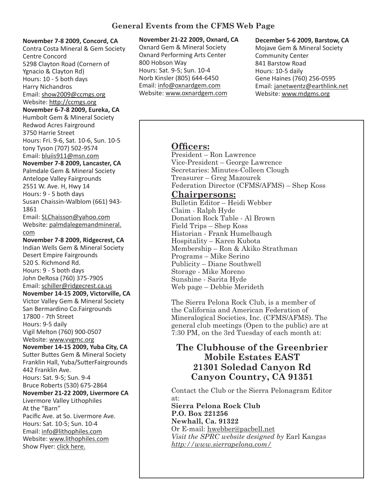### **November 7-8 2009, Concord, CA**

Contra Costa Mineral & Gem Society Centre Concord 5298 Clayton Road (Cornern of Ygnacio & Clayton Rd) Hours: 10 - 5 both days Harry Nichandros Email: show2009@ccmgs.org Website: http://ccmgs.org **November 6-7-8 2009, Eureka, CA** Humbolt Gem & Mineral Society Redwod Acres Fairground 3750 Harrie Street Hours: Fri. 9-6, Sat. 10-6, Sun. 10-5 tony Tyson (707) 502-9574 Email: bluiis911@msn.com **November 7-8 2009, Lancaster, CA** Palmdale Gem & Mineral Society Antelope Valley Fairgrounds 2551 W. Ave. H, Hwy 14 Hours: 9 - 5 both days Susan Chaissin-Walblom (661) 943- 1861 Email: SLChaisson@yahoo.com Website: palmdalegemandmineral. com **November 7-8 2009, Ridgecrest, CA** Indian Wells Gem & Mineral Society Desert Empire Fairgrounds 520 S. Richmond Rd. Hours: 9 - 5 both days John DeRosa (760) 375-7905 Email: schiller@ridgecrest.ca.us **November 14-15 2009, Victorville, CA** Victor Valley Gem & Mineral Society San Bermardino Co.Fairgrounds 17800 - 7th Street Hours: 9-5 daily Vigil Melton (760) 900-0507 Website: www.vvgmc.org **November 14-15 2009, Yuba City, CA** Sutter Buttes Gem & Mineral Society Franklin Hall, Yuba/SutterFairgrounds 442 Franklin Ave. Hours: Sat. 9-5; Sun. 9-4 Bruce Roberts (530) 675-2864 **November 21-22 2009, Livermore CA** Livermore Valley Lithophiles At the "Barn" Pacific Ave. at So. Livermore Ave. Hours: Sat. 10-5; Sun. 10-4 Email: info@lithophiles.com Website: www.lithophiles.com Show Flyer: click here.

# **November 21-22 2009, Oxnard, CA**

Oxnard Gem & Mineral Society Oxnard Performing Arts Center 800 Hobson Way Hours: Sat. 9-5; Sun. 10-4 Norb Kinsler (805) 644-6450 Email: info@oxnardgem.com Website: www.oxnardgem.com

### **December 5-6 2009, Barstow, CA**

Mojave Gem & Mineral Society Community Center 841 Barstow Road Hours: 10-5 daily Gene Haines (760) 256-0595 Email: janetwentz@earthlink.net Website: www.mdgms.org

# **Officers:**

President – Ron Lawrence Vice-President – George Lawrence Secretaries: Minutes-Colleen Clough Treasurer – Greg Mazourek Federation Director (CFMS/AFMS) – Shep Koss

## **Chairpersons:**

Bulletin Editor – Heidi Webber Claim - Ralph Hyde Donation Rock Table - Al Brown Field Trips – Shep Koss Historian - Frank Humelbaugh Hospitality – Karen Kubota Membership – Ron & Akiko Strathman Programs – Mike Serino Publicity – Diane Southwell Storage - Mike Moreno Sunshine - Sarita Hyde Web page – Debbie Merideth

The Sierra Pelona Rock Club, is a member of the California and American Federation of Mineralogical Societies, Inc. (CFMS/AFMS). The general club meetings (Open to the public) are at 7:30 PM, on the 3rd Tuesday of each month at:

# **The Clubhouse of the Greenbrier Mobile Estates EAST 21301 Soledad Canyon Rd Canyon Country, CA 91351**

Contact the Club or the Sierra Pelonagram Editor at:

**Sierra Pelona Rock Club P.O. Box 221256 Newhall, Ca. 91322** Or E-mail: hwebber@pacbell.net *Visit the SPRC website designed by* Earl Kangas *http://www.sierrapelona.com/*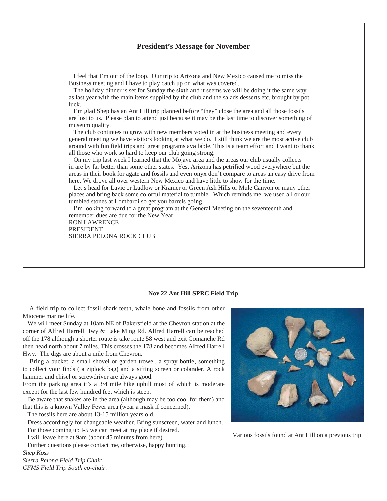#### **President's Message for November**

 I feel that I'm out of the loop. Our trip to Arizona and New Mexico caused me to miss the Business meeting and I have to play catch up on what was covered.

 The holiday dinner is set for Sunday the sixth and it seems we will be doing it the same way as last year with the main items supplied by the club and the salads desserts etc, brought by pot luck.

 I'm glad Shep has an Ant Hill trip planned before "they" close the area and all those fossils are lost to us. Please plan to attend just because it may be the last time to discover something of museum quality.

 The club continues to grow with new members voted in at the business meeting and every general meeting we have visitors looking at what we do. I still think we are the most active club around with fun field trips and great programs available. This is a team effort and I want to thank all those who work so hard to keep our club going strong.

 On my trip last week I learned that the Mojave area and the areas our club usually collects in are by far better than some other states. Yes, Arizona has petrified wood everywhere but the areas in their book for agate and fossils and even onyx don't compare to areas an easy drive from here. We drove all over western New Mexico and have little to show for the time.

 Let's head for Lavic or Ludlow or Kramer or Green Ash Hills or Mule Canyon or many other places and bring back some colorful material to tumble. Which reminds me, we used all or our tumbled stones at Lombardi so get you barrels going.

 I'm looking forward to a great program at the General Meeting on the seventeenth and remember dues are due for the New Year. RON LAWRENCE

PRESIDENT SIERRA PELONA ROCK CLUB

#### **Nov 22 Ant Hill SPRC Field Trip**

 A field trip to collect fossil shark teeth, whale bone and fossils from other Miocene marine life.

 We will meet Sunday at 10am NE of Bakersfield at the Chevron station at the corner of Alfred Harrell Hwy & Lake Ming Rd. Alfred Harrell can be reached off the 178 although a shorter route is take route 58 west and exit Comanche Rd then head north about 7 miles. This crosses the 178 and becomes Alfred Harrell Hwy. The digs are about a mile from Chevron.

 Bring a bucket, a small shovel or garden trowel, a spray bottle, something to collect your finds ( a ziplock bag) and a sifting screen or colander. A rock hammer and chisel or screwdriver are always good.

From the parking area it's a 3/4 mile hike uphill most of which is moderate except for the last few hundred feet which is steep.

 Be aware that snakes are in the area (although may be too cool for them) and that this is a known Valley Fever area (wear a mask if concerned).

The fossils here are about 13-15 million years old.

 Dress accordingly for changeable weather. Bring sunscreen, water and lunch. For those coming up I-5 we can meet at my place if desired.

I will leave here at 9am (about 45 minutes from here).

 Further questions please contact me, otherwise, happy hunting. *Shep Koss*

*Sierra Pelona Field Trip Chair CFMS Field Trip South co-chair.*



Various fossils found at Ant Hill on a previous trip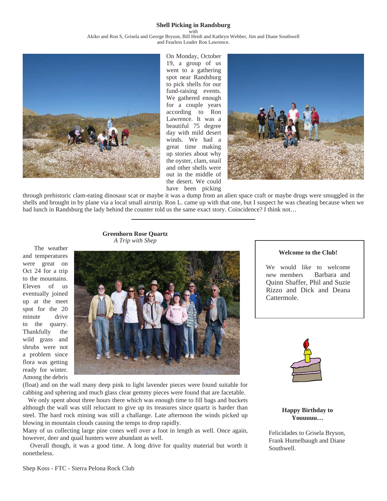#### **Shell Picking in Randsburg**

with

Akiko and Ron S, Grisela and George Bryson, Bill Heidi and Kathryn Webber, Jim and Diane Southwell and Fearless Leader Ron Lawrence.



On Monday, October 19, a group of us went to a gathering spot near Randsburg to pick shells for our fund-raising events. We gathered enough for a couple years according to Ron Lawrence. It was a beautiful 75 degree day with mild desert winds. We had a great time making up stories about why the oyster, clam, snail and other shells were out in the middle of the desert. We could have been picking



through prehistoric clam-eating dinosaur scat or maybe it was a dump from an alien space craft or maybe drugs were smuggled in the shells and brought in by plane via a local small airstrip. Ron L. came up with that one, but I suspect he was cheating because when we had lunch in Randsburg the lady behind the counter told us the same exact story. Coincidence? I think not...

#### **Greenhorn Rose Quartz** *A Trip with Shep*

 The weather and temperatures were great on Oct 24 for a trip to the mountains. Eleven of us eventually joined up at the meet spot for the 20 minute drive to the quarry. Thankfully the wild grass and shrubs were not a problem since flora was getting ready for winter. Among the debris



(float) and on the wall many deep pink to light lavender pieces were found suitable for cabbing and sphering and much glass clear gemmy pieces were found that are facetable.

 We only spent about three hours there which was enough time to fill bags and buckets although the wall was still reluctant to give up its treasures since quartz is harder than steel. The hard rock mining was still a challange. Late afternoon the winds picked up blowing in mountain clouds causing the temps to drop rapidly.

Many of us collecting large pine cones well over a foot in length as well. Once again, however, deer and quail hunters were abundant as well.

 Overall though, it was a good time. A long drive for quality material but worth it nonetheless.

#### **Welcome to the Club!**

We would like to welcome new members Barbara and Quinn Shaffer, Phil and Suzie Rizzo and Dick and Deana Cattermole.



**Happy Birthday to Youuuuu…**

Felicidades to Grisela Bryson, Frank Humelbaugh and Diane Southwell.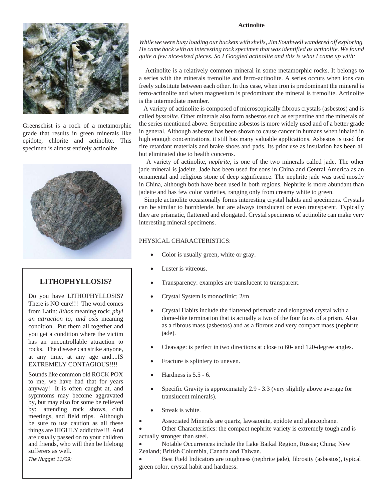#### **Actinolite**



Greenschist is a rock of a metamorphic grade that results in green minerals like epidote, chlorite and actinolite. This specimen is almost entirely actinolite



### **LITHOPHYLLOSIS?**

Do you have LITHOPHYLLOSIS? There is NO cure!!! The word comes from Latin: *lithos* meaning rock; *phyl an attraction to; and osis* meaning condition. Put them all together and you get a condition where the victim has an uncontrollable attraction to rocks. The disease can strike anyone, at any time, at any age and....IS EXTREMELY CONTAGIOUS!!!!

Sounds like common old ROCK POX to me, we have had that for years anyway! It is often caught at, and sypmtoms may become aggravated by, but may also for some be relieved by: attending rock shows, club meetings, and field trips. Although be sure to use caution as all these things are HIGHLY addictive!!! And are usually passed on to your children and friends, who will then be lifelong sufferers as well.

*The Nugget 11/09:*

*While we were busy loading our buckets with shells, Jim Southwell wandered off exploring. He came back with an interesting rock specimen that was identified as actinolite. We found quite a few nice-sized pieces. So I Googled actinolite and this is what I came up with:*

 Actinolite is a relatively common mineral in some metamorphic rocks. It belongs to a series with the minerals tremolite and ferro-actinolite. A series occurs when ions can freely substitute between each other. In this case, when iron is predominant the mineral is ferro-actinolite and when magnesium is predominant the mineral is tremolite. Actinolite is the intermediate member.

 A variety of actinolite is composed of microscopically fibrous crystals (asbestos) and is called *byssolite*. Other minerals also form asbestos such as serpentine and the minerals of the series mentioned above. Serpentine asbestos is more widely used and of a better grade in general. Although asbestos has been shown to cause cancer in humans when inhaled in high enough concentrations, it still has many valuable applications. Asbestos is used for fire retardant materials and brake shoes and pads. Its prior use as insulation has been all but eliminated due to health concerns.

 A variety of actinolite, *nephrite*, is one of the two minerals called jade. The other jade mineral is jadeite. Jade has been used for eons in China and Central America as an ornamental and religious stone of deep significance. The nephrite jade was used mostly in China, although both have been used in both regions. Nephrite is more abundant than jadeite and has few color varieties, ranging only from creamy white to green.

 Simple actinolite occasionally forms interesting crystal habits and specimens. Crystals can be similar to hornblende, but are always translucent or even transparent. Typically they are prismatic, flattened and elongated. Crystal specimens of actinolite can make very interesting mineral specimens.

#### PHYSICAL CHARACTERISTICS:

- Color is usually green, white or gray.
- Luster is vitreous.
- Transparency: examples are translucent to transparent.
- Crystal System is monoclinic; 2/m
- Crystal Habits include the flattened prismatic and elongated crystal with a dome-like termination that is actually a two of the four faces of a prism. Also as a fibrous mass (asbestos) and as a fibrous and very compact mass (nephrite jade).
- Cleavage: is perfect in two directions at close to 60- and 120-degree angles.
- Fracture is splintery to uneven.
- Hardness is 5.5 6.
- Specific Gravity is approximately 2.9 3.3 (very slightly above average for translucent minerals).
- Streak is white.
- Associated Minerals are quartz, lawsaonite, epidote and glaucophane.
- Other Characteristics: the compact nephrite variety is extremely tough and is actually stronger than steel.
- Notable Occurrences include the Lake Baikal Region, Russia; China; New Zealand; British Columbia, Canada and Taiwan.
- Best Field Indicators are toughness (nephrite jade), fibrosity (asbestos), typical green color, crystal habit and hardness.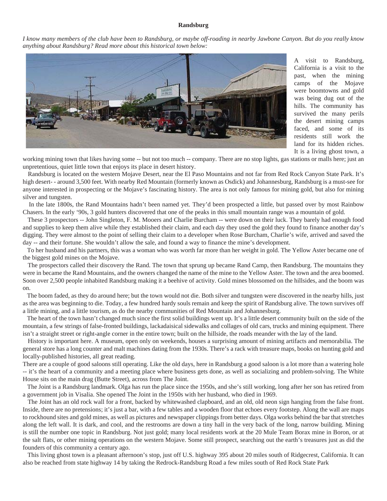#### **Randsburg**

*I know many members of the club have been to Randsburg, or maybe off-roading in nearby Jawbone Canyon. But do you really know anything about Randsburg? Read more about this historical town below:*



 A visit to Randsburg, California is a visit to the past, when the mining camps of the Mojave were boomtowns and gold was being dug out of the hills. The community has survived the many perils the desert mining camps faced, and some of its residents still work the land for its hidden riches. It is a living ghost town, a

working mining town that likes having some -- but not too much -- company. There are no stop lights, gas stations or malls here; just an unpretentious, quiet little town that enjoys its place in desert history.

 Randsburg is located on the western Mojave Desert, near the El Paso Mountains and not far from Red Rock Canyon State Park. It's high desert-- around 3,500 feet. With nearby Red Mountain (formerly known as Osdick) and Johannesburg, Randsburg is a must-see for anyone interested in prospecting or the Mojave's fascinating history. The area is not only famous for mining gold, but also for mining silver and tungsten.

 In the late 1800s, the Rand Mountains hadn't been named yet. They'd been prospected a little, but passed over by most Rainbow Chasers. In the early '90s, 3 gold hunters discovered that one of the peaks in this small mountain range was a mountain of gold.

 These 3 prospectors -- John Singleton, F. M. Mooers and Charlie Burcham -- were down on their luck. They barely had enough food and supplies to keep them alive while they established their claim, and each day they used the gold they found to finance another day's digging. They were almost to the point of selling their claim to a developer when Rose Burcham, Charlie's wife, arrived and saved the day -- and their fortune. She wouldn't allow the sale, and found a way to finance the mine's development.

 To her husband and his partners, this was a woman who was worth far more than her weight in gold. The Yellow Aster became one of the biggest gold mines on the Mojave.

 The prospectors called their discovery the Rand. The town that sprung up became Rand Camp, then Randsburg. The mountains they were in became the Rand Mountains, and the owners changed the name of the mine to the Yellow Aster. The town and the area boomed. Soon over 2,500 people inhabited Randsburg making it a beehive of activity. Gold mines blossomed on the hillsides, and the boom was on.

 The boom faded, as they do around here; but the town would not die. Both silver and tungsten were discovered in the nearby hills, just as the area was beginning to die. Today, a few hundred hardy souls remain and keep the spirit of Randsburg alive. The town survives off a little mining, and a little tourism, as do the nearby communities of Red Mountain and Johannesburg.

 The heart of the town hasn't changed much since the first solid buildings went up. It's a little desert community built on the side of the mountain, a few strings of false-fronted buildings, lackadaisical sidewalks and collages of old cars, trucks and mining equipment. There isn't a straight street or right-angle corner in the entire town; built on the hillside, the roads meander with the lay of the land.

 History is important here. A museum, open only on weekends, houses a surprising amount of mining artifacts and memorabilia. The general store has a long counter and malt machines dating from the 1930s. There's a rack with treasure maps, books on hunting gold and locally-published histories, all great reading.

There are a couple of good saloons still operating. Like the old days, here in Randsburg a good saloon is a lot more than a watering hole -- it's the heart of a community and a meeting place where business gets done, as well as socializing and problem-solving. The White House sits on the main drag (Butte Street), across from The Joint.

 The Joint is a Randsburg landmark. Olga has run the place since the 1950s, and she's still working, long after her son has retired from a government job in Visalia. She opened The Joint in the 1950s with her husband, who died in 1969.

 The Joint has an old rock wall for a front, backed by whitewashed clapboard, and an old, old neon sign hanging from the false front. Inside, there are no pretensions; it's just a bar, with a few tables and a wooden floor that echoes every footstep. Along the wall are maps to rockhound sites and gold mines, as well as pictures and newspaper clippings from better days. Olga works behind the bar that stretches along the left wall. It is dark, and cool, and the restrooms are down a tiny hall in the very back of the long, narrow building. Mining is still the number one topic in Randsburg. Not just gold; many local residents work at the 20 Mule Team Borax mine in Boron, or at the salt flats, or other mining operations on the western Mojave. Some still prospect, searching out the earth's treasures just as did the founders of this community a century ago.

 This living ghost town is a pleasant afternoon's stop, just off U.S. highway 395 about 20 miles south of Ridgecrest, California. It can also be reached from state highway 14 by taking the Redrock-Randsburg Road a few miles south of Red Rock State Park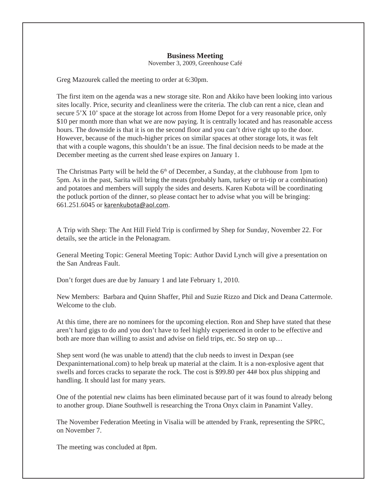### **Business Meeting**

November 3, 2009, Greenhouse Café

Greg Mazourek called the meeting to order at 6:30pm.

The first item on the agenda was a new storage site. Ron and Akiko have been looking into various sites locally. Price, security and cleanliness were the criteria. The club can rent a nice, clean and secure 5'X 10' space at the storage lot across from Home Depot for a very reasonable price, only \$10 per month more than what we are now paying. It is centrally located and has reasonable access hours. The downside is that it is on the second floor and you can't drive right up to the door. However, because of the much-higher prices on similar spaces at other storage lots, it was felt that with a couple wagons, this shouldn't be an issue. The final decision needs to be made at the December meeting as the current shed lease expires on January 1.

The Christmas Party will be held the  $6<sup>th</sup>$  of December, a Sunday, at the clubhouse from 1pm to 5pm. As in the past, Sarita will bring the meats (probably ham, turkey or tri-tip or a combination) and potatoes and members will supply the sides and deserts. Karen Kubota will be coordinating the potluck portion of the dinner, so please contact her to advise what you will be bringing: 661.251.6045 or karenkubota@aol.com.

A Trip with Shep: The Ant Hill Field Trip is confirmed by Shep for Sunday, November 22. For details, see the article in the Pelonagram.

General Meeting Topic: General Meeting Topic: Author David Lynch will give a presentation on the San Andreas Fault.

Don't forget dues are due by January 1 and late February 1, 2010.

New Members: Barbara and Quinn Shaffer, Phil and Suzie Rizzo and Dick and Deana Cattermole. Welcome to the club.

At this time, there are no nominees for the upcoming election. Ron and Shep have stated that these aren't hard gigs to do and you don't have to feel highly experienced in order to be effective and both are more than willing to assist and advise on field trips, etc. So step on up…

Shep sent word (he was unable to attend) that the club needs to invest in Dexpan (see Dexpaninternational.com) to help break up material at the claim. It is a non-explosive agent that swells and forces cracks to separate the rock. The cost is \$99.80 per 44# box plus shipping and handling. It should last for many years.

One of the potential new claims has been eliminated because part of it was found to already belong to another group. Diane Southwell is researching the Trona Onyx claim in Panamint Valley.

The November Federation Meeting in Visalia will be attended by Frank, representing the SPRC, on November 7.

The meeting was concluded at 8pm.